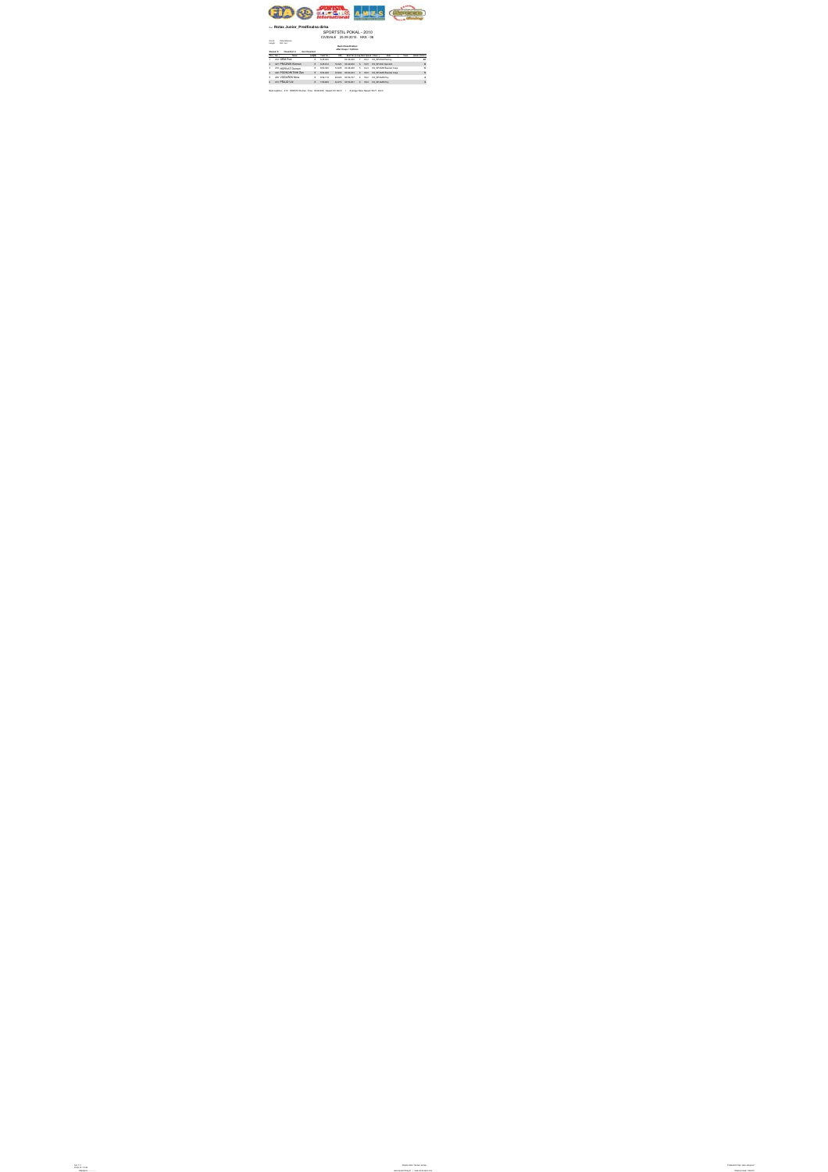

## Run: **Rotax Junior\_Predfinalna dirka**

## SPORTSTIL POKAL - 2010 CIVIDALE 25.09.2010. KKS - 06

Circuit: Pista Alberone Length: 820 met.

**Race Classification**

**after 8 laps = 6,56 km**

**Started: 8 Classified: 8 Not Classified:**

|   | . . | <b>Margaret</b>     |   | <b>Teached</b> | gue!        |          |                | <b>Box Technical Research Corp.</b> | <b>Minds</b>                         | <b>Texas</b> | -  |
|---|-----|---------------------|---|----------------|-------------|----------|----------------|-------------------------------------|--------------------------------------|--------------|----|
| ٠ |     | 412 GRM Rok         |   | $8 - 638,092$  |             | 0049-008 | - 7            |                                     | 63.2 Fd SPIRAL Racing                |              | 16 |
| ٠ |     | 421 PRAZNIK Klemen  | ٠ | 6.49.874       | 10,324      | 0049430  | $\blacksquare$ |                                     | <b>BLD RX SPAKK BANKAL</b>           |              | ٠  |
| ٠ |     | 410 HORVAT Domen    | ٠ | 6.80.200       | 14,805      |          |                |                                     | COURSES 5 63.3 Rd 37/402 Sander Cele |              | ٠  |
| ٠ |     | 422 PODKORITNIK Zan | ٠ | 6.56.689       | 18,999      | 0030423  | $\blacksquare$ |                                     | <b>BLD RX SPAMD Sander Cete</b>      |              |    |
| ٠ |     | 430 VODUŠEK Nine    | ٠ | 6.06.119       | 20.629      | 0030727  | ٠              |                                     | <b>BLZ RESPARDFUL</b>                |              |    |
| ٠ |     | AN OLLID MA         | ٠ | <b>TOR BAN</b> | <b>MAYS</b> | CORDON?  | $\blacksquare$ | 58.9                                | <b>BESPARD FM</b>                    |              | ä  |

Best Laptime : 410 HORVAT Domen Time: 00:48,948 Speed: 60 Km/h / Average Race Speed: 59,71 Km/h